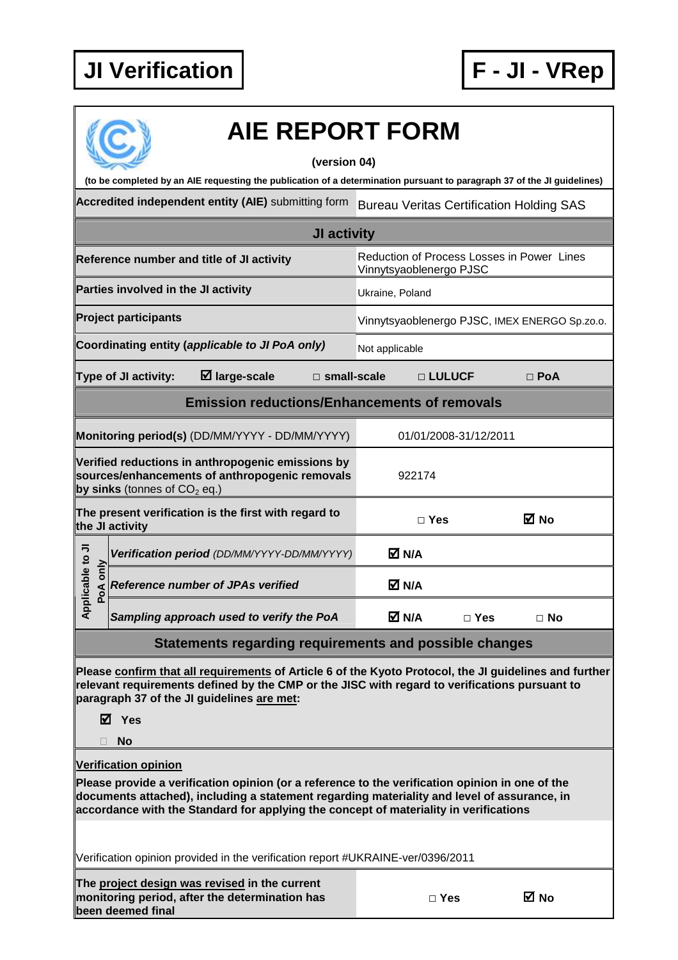

| <b>AIE REPORT FORM</b><br>(version 04)                                                                                                                                                                                                                                                  |                                                                       |                                               |  |  |  |  |  |  |  |
|-----------------------------------------------------------------------------------------------------------------------------------------------------------------------------------------------------------------------------------------------------------------------------------------|-----------------------------------------------------------------------|-----------------------------------------------|--|--|--|--|--|--|--|
| (to be completed by an AIE requesting the publication of a determination pursuant to paragraph 37 of the JI guidelines)                                                                                                                                                                 |                                                                       |                                               |  |  |  |  |  |  |  |
| Accredited independent entity (AIE) submitting form                                                                                                                                                                                                                                     | <b>Bureau Veritas Certification Holding SAS</b>                       |                                               |  |  |  |  |  |  |  |
| JI activity                                                                                                                                                                                                                                                                             |                                                                       |                                               |  |  |  |  |  |  |  |
| Reference number and title of JI activity                                                                                                                                                                                                                                               | Reduction of Process Losses in Power Lines<br>Vinnytsyaoblenergo PJSC |                                               |  |  |  |  |  |  |  |
| Parties involved in the JI activity                                                                                                                                                                                                                                                     | Ukraine, Poland                                                       |                                               |  |  |  |  |  |  |  |
| <b>Project participants</b>                                                                                                                                                                                                                                                             |                                                                       | Vinnytsyaoblenergo PJSC, IMEX ENERGO Sp.zo.o. |  |  |  |  |  |  |  |
| Coordinating entity (applicable to JI PoA only)                                                                                                                                                                                                                                         | Not applicable                                                        |                                               |  |  |  |  |  |  |  |
| $\boxtimes$ large-scale<br>Type of JI activity:                                                                                                                                                                                                                                         | $\square$ small-scale<br>□ LULUCF<br>$\Box$ PoA                       |                                               |  |  |  |  |  |  |  |
| <b>Emission reductions/Enhancements of removals</b>                                                                                                                                                                                                                                     |                                                                       |                                               |  |  |  |  |  |  |  |
| Monitoring period(s) (DD/MM/YYYY - DD/MM/YYYY)                                                                                                                                                                                                                                          | 01/01/2008-31/12/2011                                                 |                                               |  |  |  |  |  |  |  |
| Verified reductions in anthropogenic emissions by<br>sources/enhancements of anthropogenic removals<br>by sinks (tonnes of $CO2$ eq.)                                                                                                                                                   | 922174                                                                |                                               |  |  |  |  |  |  |  |
| The present verification is the first with regard to<br>the JI activity                                                                                                                                                                                                                 | ⊠ No<br>$\Box$ Yes                                                    |                                               |  |  |  |  |  |  |  |
| Verification period (DD/MM/YYYY-DD/MM/YYYY)                                                                                                                                                                                                                                             | M N/A                                                                 |                                               |  |  |  |  |  |  |  |
| pplicable to JI<br>PoA only<br><b>Reference number of JPAs verified</b>                                                                                                                                                                                                                 | M N/A                                                                 |                                               |  |  |  |  |  |  |  |
| ⋖<br>Sampling approach used to verify the PoA                                                                                                                                                                                                                                           | M N/A<br>$\Box$ Yes<br>$\Box$ No                                      |                                               |  |  |  |  |  |  |  |
|                                                                                                                                                                                                                                                                                         | <b>Statements regarding requirements and possible changes</b>         |                                               |  |  |  |  |  |  |  |
| Please confirm that all requirements of Article 6 of the Kyoto Protocol, the JI guidelines and further<br>relevant requirements defined by the CMP or the JISC with regard to verifications pursuant to<br>paragraph 37 of the JI guidelines are met:<br>$\boxtimes$ Yes                |                                                                       |                                               |  |  |  |  |  |  |  |
| No                                                                                                                                                                                                                                                                                      |                                                                       |                                               |  |  |  |  |  |  |  |
| <b>Verification opinion</b>                                                                                                                                                                                                                                                             |                                                                       |                                               |  |  |  |  |  |  |  |
| Please provide a verification opinion (or a reference to the verification opinion in one of the<br>documents attached), including a statement regarding materiality and level of assurance, in<br>accordance with the Standard for applying the concept of materiality in verifications |                                                                       |                                               |  |  |  |  |  |  |  |
| Verification opinion provided in the verification report #UKRAINE-ver/0396/2011                                                                                                                                                                                                         |                                                                       |                                               |  |  |  |  |  |  |  |
| The project design was revised in the current<br>monitoring period, after the determination has<br>been deemed final                                                                                                                                                                    | ⊠ No<br>$\Box$ Yes                                                    |                                               |  |  |  |  |  |  |  |